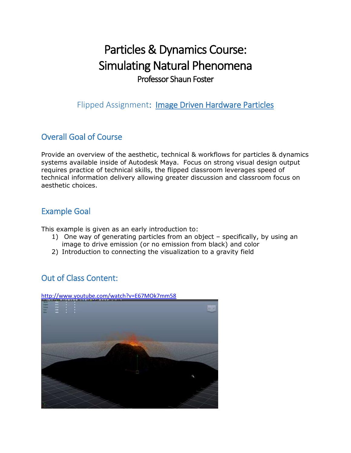# Particles & Dynamics Course: Simulating Natural Phenomena Professor Shaun Foster

Flipped Assignment: Image Driven Hardware Particles

## Overall Goal of Course

Provide an overview of the aesthetic, technical & workflows for particles & dynamics systems available inside of Autodesk Maya. Focus on strong visual design output requires practice of technical skills, the flipped classroom leverages speed of technical information delivery allowing greater discussion and classroom focus on aesthetic choices.

#### Example Goal

This example is given as an early introduction to:

- 1) One way of generating particles from an object specifically, by using an image to drive emission (or no emission from black) and color
- 2) Introduction to connecting the visualization to a gravity field

## Out of Class Content:

#### <http://www.youtube.com/watch?v=E67MOk7mm58>